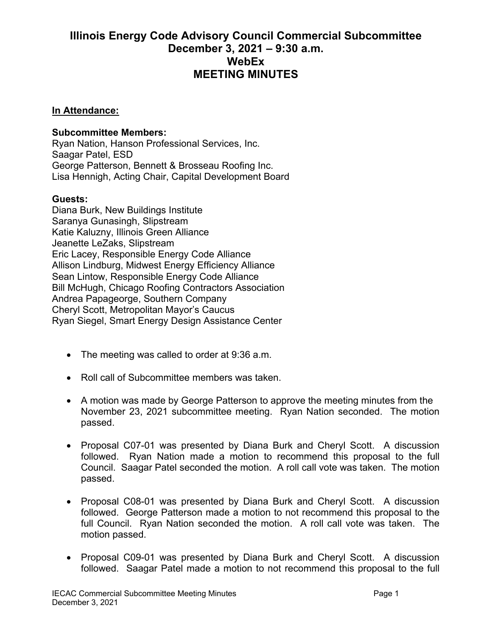## **Illinois Energy Code Advisory Council Commercial Subcommittee December 3, 2021 – 9:30 a.m. WebEx MEETING MINUTES**

## **In Attendance:**

## **Subcommittee Members:**

Ryan Nation, Hanson Professional Services, Inc. Saagar Patel, ESD George Patterson, Bennett & Brosseau Roofing Inc. Lisa Hennigh, Acting Chair, Capital Development Board

## **Guests:**

Diana Burk, New Buildings Institute Saranya Gunasingh, Slipstream Katie Kaluzny, Illinois Green Alliance Jeanette LeZaks, Slipstream Eric Lacey, Responsible Energy Code Alliance Allison Lindburg, Midwest Energy Efficiency Alliance Sean Lintow, Responsible Energy Code Alliance Bill McHugh, Chicago Roofing Contractors Association Andrea Papageorge, Southern Company Cheryl Scott, Metropolitan Mayor's Caucus Ryan Siegel, Smart Energy Design Assistance Center

- The meeting was called to order at 9:36 a.m.
- Roll call of Subcommittee members was taken.
- A motion was made by George Patterson to approve the meeting minutes from the November 23, 2021 subcommittee meeting. Ryan Nation seconded. The motion passed.
- Proposal C07-01 was presented by Diana Burk and Cheryl Scott. A discussion followed. Ryan Nation made a motion to recommend this proposal to the full Council. Saagar Patel seconded the motion. A roll call vote was taken. The motion passed.
- Proposal C08-01 was presented by Diana Burk and Cheryl Scott. A discussion followed. George Patterson made a motion to not recommend this proposal to the full Council. Ryan Nation seconded the motion. A roll call vote was taken. The motion passed.
- Proposal C09-01 was presented by Diana Burk and Cheryl Scott. A discussion followed. Saagar Patel made a motion to not recommend this proposal to the full